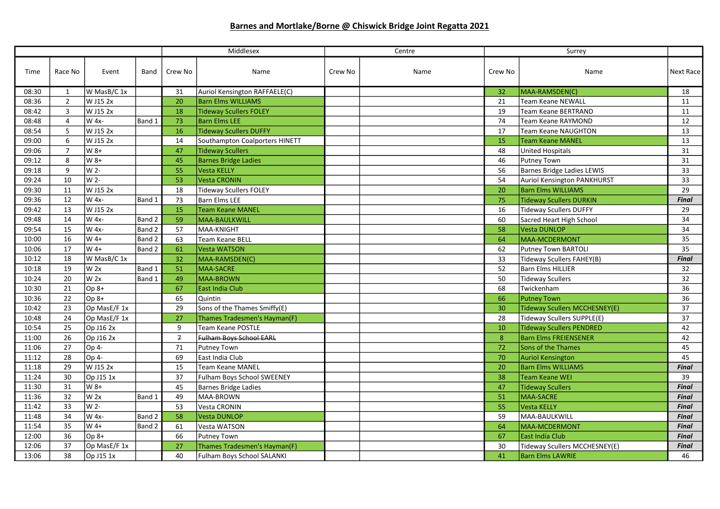## Barnes and Mortlake/Borne @ Chiswick Bridge Joint Regatta 2021

|       |                |                |        | Middlesex      |                                | Centre  |      | Surrey  |                                   |              |
|-------|----------------|----------------|--------|----------------|--------------------------------|---------|------|---------|-----------------------------------|--------------|
| Time  | Race No        | Event          | Band   | Crew No        | Name                           | Crew No | Name | Crew No | Name                              | Next Race    |
| 08:30 | 1              | W MasB/C 1x    |        | 31             | Auriol Kensington RAFFAELE(C)  |         |      | 32      | MAA-RAMSDEN(C)                    | 18           |
| 08:36 | $\overline{2}$ | W J15 2x       |        | 20             | <b>Barn Elms WILLIAMS</b>      |         |      | 21      | <b>Team Keane NEWALL</b>          | 11           |
| 08:42 | $\overline{3}$ | W J15 2x       |        | 18             | Tideway Scullers FOLEY         |         |      | 19      | <b>Team Keane BERTRAND</b>        | 11           |
| 08:48 | $\overline{4}$ | W 4x-          | Band 1 | 73             | <b>Barn Elms LEE</b>           |         |      | 74      | Team Keane RAYMOND                | 12           |
| 08:54 | 5              | W J15 2x       |        | 16             | Tideway Scullers DUFFY         |         |      | 17      | <b>Team Keane NAUGHTON</b>        | 13           |
| 09:00 | 6              | W J15 2x       |        | 14             | Southampton Coalporters HINETT |         |      | 15      | Team Keane MANEL                  | 13           |
| 09:06 | $\overline{7}$ | W 8+           |        | 47             | <b>Tideway Scullers</b>        |         |      | 48      | United Hospitals                  | 31           |
| 09:12 | 8              | $W8+$          |        | 45             | <b>Barnes Bridge Ladies</b>    |         |      | 46      | <b>Putney Town</b>                | 31           |
| 09:18 | 9              | W <sub>2</sub> |        | 55             | Vesta KELLY                    |         |      | 56      | <b>Barnes Bridge Ladies LEWIS</b> | 33           |
| 09:24 | 10             | W 2-           |        | 53             | Vesta CRONIN                   |         |      | 54      | Auriol Kensington PANKHURST       | 33           |
| 09:30 | 11             | W J15 2x       |        | 18             | Tideway Scullers FOLEY         |         |      | 20      | <b>Barn Elms WILLIAMS</b>         | 29           |
| 09:36 | 12             | W 4x-          | Band 1 | 73             | <b>Barn Elms LEE</b>           |         |      | 75      | <b>Tideway Scullers DURKIN</b>    | <b>Final</b> |
| 09:42 | 13             | W J15 2x       |        | 15             | Team Keane MANEL               |         |      | 16      | Tideway Scullers DUFFY            | 29           |
| 09:48 | 14             | W 4x-          | Band 2 | 59             | MAA-BAULKWILL                  |         |      | 60      | Sacred Heart High School          | 34           |
| 09:54 | 15             | W 4x-          | Band 2 | 57             | MAA-KNIGHT                     |         |      | 58      | <b>Vesta DUNLOP</b>               | 34           |
| 10:00 | 16             | $W$ 4+         | Band 2 | 63             | Team Keane BELL                |         |      | 64      | MAA-MCDERMONT                     | 35           |
| 10:06 | 17             | $W$ 4+         | Band 2 | 61             | Vesta WATSON                   |         |      | 62      | Putney Town BARTOLI               | 35           |
| 10:12 | 18             | W MasB/C 1x    |        | 32             | MAA-RAMSDEN(C)                 |         |      | 33      | Tideway Scullers FAHEY(B)         | <b>Final</b> |
| 10:18 | 19             | W 2x           | Band 1 | 51             | MAA-SACRE                      |         |      | 52      | <b>Barn Elms HILLIER</b>          | 32           |
| 10:24 | 20             | W 2x           | Band 1 | 49             | <b>MAA-BROWN</b>               |         |      | 50      | Tideway Scullers                  | 32           |
| 10:30 | 21             | $Op 8+$        |        | 67             | East India Club                |         |      | 68      | Twickenham                        | 36           |
| 10:36 | 22             | $Op 8+$        |        | 65             | Quintin                        |         |      | 66      | <b>Putney Town</b>                | 36           |
| 10:42 | 23             | Op MasE/F 1x   |        | 29             | Sons of the Thames Smiffy(E)   |         |      | 30      | Tideway Scullers MCCHESNEY(E)     | 37           |
| 10:48 | 24             | Op MasE/F 1x   |        | 27             | Thames Tradesmen's Hayman(F)   |         |      | 28      | Tideway Scullers SUPPLE(E)        | 37           |
| 10:54 | 25             | Op J16 2x      |        | 9              | <b>Team Keane POSTLE</b>       |         |      | 10      | <b>Tideway Scullers PENDRED</b>   | 42           |
| 11:00 | 26             | Op J16 2x      |        | $\overline{f}$ | Fulham Boys School EARL        |         |      | 8       | <b>Barn Elms FREIENSENER</b>      | 42           |
| 11:06 | 27             | Op 4-          |        | 71             | Putney Town                    |         |      | 72      | Sons of the Thames                | 45           |
| 11:12 | 28             | Op 4-          |        | 69             | East India Club                |         |      | 70      | <b>Auriol Kensington</b>          | 45           |
| 11:18 | 29             | W J15 2x       |        | 15             | <b>Team Keane MANEL</b>        |         |      | 20      | <b>Barn Elms WILLIAMS</b>         | <b>Final</b> |
| 11:24 | 30             | Op J15 1x      |        | 37             | Fulham Boys School SWEENEY     |         |      | 38      | <b>Team Keane WEI</b>             | 39           |
| 11:30 | 31             | W 8+           |        | 45             | Barnes Bridge Ladies           |         |      | 47      | <b>Tideway Scullers</b>           | <b>Final</b> |
| 11:36 | 32             | W 2x           | Band 1 | 49             | MAA-BROWN                      |         |      | 51      | <b>MAA-SACRE</b>                  | <b>Final</b> |
| 11:42 | 33             | W 2-           |        | 53             | Vesta CRONIN                   |         |      | 55      | <b>Vesta KELLY</b>                | <b>Final</b> |
| 11:48 | 34             | W 4x-          | Band 2 | 58             | Vesta DUNLOP                   |         |      | 59      | MAA-BAULKWILL                     | <b>Final</b> |
| 11:54 | 35             | W 4+           | Band 2 | 61             | Vesta WATSON                   |         |      | 64      | MAA-MCDERMONT                     | <b>Final</b> |
| 12:00 | 36             | Op 8+          |        | 66             | Putney Town                    |         |      | 67      | East India Club                   | <b>Final</b> |
| 12:06 | 37             | Op MasE/F 1x   |        | 27             | Thames Tradesmen's Hayman(F)   |         |      | 30      | Tideway Scullers MCCHESNEY(E)     | <b>Final</b> |
| 13:06 | 38             | Op J15 1x      |        | 40             | Fulham Boys School SALANKI     |         |      | 41      | <b>Barn Elms LAWRIE</b>           | 46           |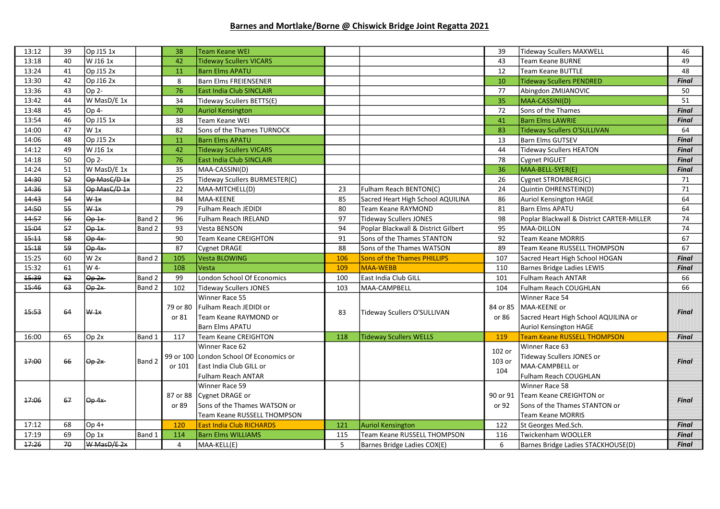## Barnes and Mortlake/Borne @ Chiswick Bridge Joint Regatta 2021

| 13:12 | 39 | Op J15 1x                 |        | 38             | <b>Team Keane WEI</b>                   |     |                                     | 39       | <b>Tideway Scullers MAXWELL</b>           | 46           |
|-------|----|---------------------------|--------|----------------|-----------------------------------------|-----|-------------------------------------|----------|-------------------------------------------|--------------|
| 13:18 | 40 | W J16 1x                  |        | 42             | <b>Tideway Scullers VICARS</b>          |     |                                     | 43       | Team Keane BURNE                          | 49           |
| 13:24 | 41 | Op J15 2x                 |        | 11             | <b>Barn Elms APATU</b>                  |     |                                     | 12       | Team Keane BUTTLE                         | 48           |
| 13:30 | 42 | Op J16 2x                 |        | 8              | <b>Barn Elms FREIENSENER</b>            |     |                                     | 10       | <b>Tideway Scullers PENDRED</b>           | <b>Final</b> |
| 13:36 | 43 | Op 2-                     |        | 76             | <b>East India Club SINCLAIR</b>         |     |                                     | 77       | Abingdon ZMIJANOVIC                       | 50           |
| 13:42 | 44 | W MasD/E 1x               |        | 34             | Tideway Scullers BETTS(E)               |     |                                     | 35       | MAA-CASSINI(D)                            | 51           |
| 13:48 | 45 | Op 4-                     |        | 70             | Auriol Kensington                       |     |                                     | 72       | Sons of the Thames                        | <b>Final</b> |
| 13:54 | 46 | Op J15 1x                 |        | 38             | Team Keane WEI                          |     |                                     | 41       | <b>Barn Elms LAWRIE</b>                   | <b>Final</b> |
| 14:00 | 47 | $W_1x$                    |        | 82             | Sons of the Thames TURNOCK              |     |                                     | 83       | Tideway Scullers O'SULLIVAN               | 64           |
| 14:06 | 48 | Op J15 2x                 |        | 11             | <b>Barn Elms APATU</b>                  |     |                                     | 13       | <b>Barn Elms GUTSEV</b>                   | <b>Final</b> |
| 14:12 | 49 | W J16 1x                  |        | 42             | <b>Tideway Scullers VICARS</b>          |     |                                     | 44       | <b>Tideway Scullers HEATON</b>            | <b>Final</b> |
| 14:18 | 50 | Op <sub>2</sub>           |        | 76             | <b>East India Club SINCLAIR</b>         |     |                                     | 78       | <b>Cygnet PIGUET</b>                      | <b>Final</b> |
| 14:24 | 51 | W MasD/E 1x               |        | 35             | MAA-CASSINI(D)                          |     |                                     | 36       | MAA-BELL-SYER(E)                          | <b>Final</b> |
| 14:30 | 52 | Op MasC/D 1x              |        | 25             | Tideway Scullers BURMESTER(C)           |     |                                     | 26       | Cygnet STROMBERG(C)                       | 71           |
| 14:36 | 53 | Op MasC/D 1x              |        | 22             | MAA-MITCHELL(D)                         | 23  | Fulham Reach BENTON(C)              | 24       | Quintin OHRENSTEIN(D)                     | 71           |
| 14:43 | 54 | W <sub>1x</sub>           |        | 84             | MAA-KEENE                               | 85  | Sacred Heart High School AQUILINA   | 86       | <b>Auriol Kensington HAGE</b>             | 64           |
| 14:50 | 55 | W <sub>1x</sub>           |        | 79             | Fulham Reach JEDIDI                     | 80  | Team Keane RAYMOND                  | 81       | Barn Elms APATU                           | 64           |
| 14:57 | 56 | $\overline{\Theta p}$ 1x  | Band 2 | 96             | Fulham Reach IRELAND                    | 97  | Tideway Scullers JONES              | 98       | Poplar Blackwall & District CARTER-MILLER | 74           |
| 15:04 | 57 | $Op-1x$                   | Band 2 | 93             | Vesta BENSON                            | 94  | Poplar Blackwall & District Gilbert | 95       | <b>MAA-DILLON</b>                         | 74           |
| 15:11 | 58 | $Op 4x-$                  |        | 90             | <b>Team Keane CREIGHTON</b>             | 91  | Sons of the Thames STANTON          | 92       | <b>Team Keane MORRIS</b>                  | 67           |
| 15:18 | 59 | $Op 4x-$                  |        | 87             | Cygnet DRAGE                            | 88  | Sons of the Thames WATSON           | 89       | Team Keane RUSSELL THOMPSON               | 67           |
| 15:25 | 60 | $W$ 2x                    | Band 2 | 105            | Vesta BLOWING                           | 106 | <b>Sons of the Thames PHILLIPS</b>  | 107      | Sacred Heart High School HOGAN            | <b>Final</b> |
| 15:32 | 61 | W 4-                      |        | 108            | l Vesta                                 | 109 | <b>MAA-WEBB</b>                     | 110      | Barnes Bridge Ladies LEWIS                | <b>Final</b> |
| 15:39 | 62 | Op <sub>2x</sub>          | Band 2 | 99             | London School Of Economics              | 100 | East India Club GILL                | 101      | Fulham Reach ANTAR                        | 66           |
| 15:46 | 63 | $\Theta$ <sub>p</sub> 2x  | Band 2 | 102            | Tideway Scullers JONES                  | 103 | MAA-CAMPBELL                        | 104      | Fulham Reach COUGHLAN                     | 66           |
|       |    |                           |        |                | Winner Race 55                          |     |                                     |          | Winner Race 54                            |              |
| 15:53 | 64 | W <sub>1x</sub>           |        | 79 or 80       | Fulham Reach JEDIDI or                  | 83  | Tideway Scullers O'SULLIVAN         | 84 or 85 | MAA-KEENE or                              | <b>Final</b> |
|       |    |                           |        | or 81          | Team Keane RAYMOND or                   |     |                                     | or 86    | Sacred Heart High School AQUILINA or      |              |
|       |    |                           |        |                | <b>Barn Elms APATU</b>                  |     |                                     |          | <b>Auriol Kensington HAGE</b>             |              |
| 16:00 | 65 | Op <sub>2x</sub>          | Band 1 | 117            | <b>Team Keane CREIGHTON</b>             | 118 | <b>Tideway Scullers WELLS</b>       | 119      | <b>Team Keane RUSSELL THOMPSON</b>        | <b>Final</b> |
|       |    |                           |        |                | Winner Race 62                          |     |                                     | 102 or   | Winner Race 63                            |              |
| 17:00 | 66 | $\Theta$ <sub>p</sub> 2x  | Band 2 |                | 99 or 100 London School Of Economics or |     |                                     | 103 or   | <b>Tideway Scullers JONES or</b>          | <b>Final</b> |
|       |    |                           |        | or 101         | East India Club GILL or                 |     |                                     | 104      | MAA-CAMPBELL or                           |              |
| 17:06 |    | $\Theta$ <sub>p</sub> 4x- |        |                | Fulham Reach ANTAR                      |     |                                     |          | Fulham Reach COUGHLAN                     |              |
|       |    |                           |        |                | Winner Race 59                          |     |                                     |          | Winner Race 58                            |              |
|       | 67 |                           |        |                | 87 or 88 Cygnet DRAGE or                |     |                                     | 90 or 91 | Team Keane CREIGHTON or                   | <b>Final</b> |
|       |    |                           |        | or 89          | Sons of the Thames WATSON or            |     |                                     | or 92    | Sons of the Thames STANTON or             |              |
|       |    |                           |        |                | Team Keane RUSSELL THOMPSON             |     |                                     |          | <b>Team Keane MORRIS</b>                  |              |
| 17:12 | 68 | $Op 4+$                   |        | 120            | <b>East India Club RICHARDS</b>         | 121 | Auriol Kensington                   | 122      | St Georges Med.Sch.                       | <b>Final</b> |
| 17:19 | 69 | Op 1x                     | Band 1 | 114            | <b>Barn Elms WILLIAMS</b>               | 115 | Team Keane RUSSELL THOMPSON         | 116      | Twickenham WOOLLER                        | <b>Final</b> |
| 17:26 | 70 | W MasD/E 2x               |        | $\overline{4}$ | MAA-KELL(E)                             | 5   | Barnes Bridge Ladies COX(E)         | 6        | Barnes Bridge Ladies STACKHOUSE(D)        | <b>Final</b> |